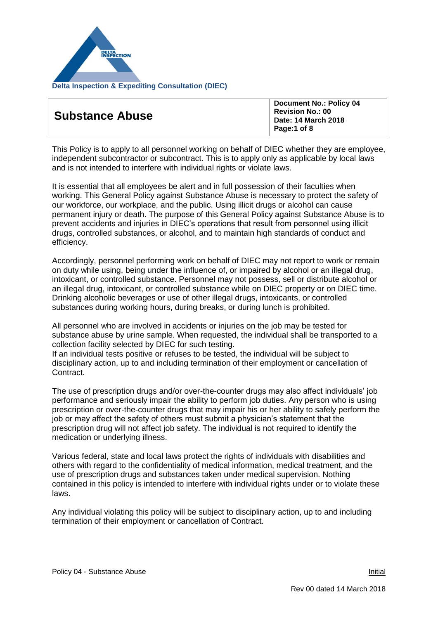

| <b>Substance Abuse</b> | <b>Document No.: Policy 04</b><br><b>Revision No.: 00</b><br>Date: 14 March 2018<br>Page:1 of 8 |
|------------------------|-------------------------------------------------------------------------------------------------|
|------------------------|-------------------------------------------------------------------------------------------------|

This Policy is to apply to all personnel working on behalf of DIEC whether they are employee, independent subcontractor or subcontract. This is to apply only as applicable by local laws and is not intended to interfere with individual rights or violate laws.

It is essential that all employees be alert and in full possession of their faculties when working. This General Policy against Substance Abuse is necessary to protect the safety of our workforce, our workplace, and the public. Using illicit drugs or alcohol can cause permanent injury or death. The purpose of this General Policy against Substance Abuse is to prevent accidents and injuries in DIEC's operations that result from personnel using illicit drugs, controlled substances, or alcohol, and to maintain high standards of conduct and efficiency.

Accordingly, personnel performing work on behalf of DIEC may not report to work or remain on duty while using, being under the influence of, or impaired by alcohol or an illegal drug, intoxicant, or controlled substance. Personnel may not possess, sell or distribute alcohol or an illegal drug, intoxicant, or controlled substance while on DIEC property or on DIEC time. Drinking alcoholic beverages or use of other illegal drugs, intoxicants, or controlled substances during working hours, during breaks, or during lunch is prohibited.

All personnel who are involved in accidents or injuries on the job may be tested for substance abuse by urine sample. When requested, the individual shall be transported to a collection facility selected by DIEC for such testing.

If an individual tests positive or refuses to be tested, the individual will be subject to disciplinary action, up to and including termination of their employment or cancellation of Contract.

The use of prescription drugs and/or over-the-counter drugs may also affect individuals' job performance and seriously impair the ability to perform job duties. Any person who is using prescription or over-the-counter drugs that may impair his or her ability to safely perform the job or may affect the safety of others must submit a physician's statement that the prescription drug will not affect job safety. The individual is not required to identify the medication or underlying illness.

Various federal, state and local laws protect the rights of individuals with disabilities and others with regard to the confidentiality of medical information, medical treatment, and the use of prescription drugs and substances taken under medical supervision. Nothing contained in this policy is intended to interfere with individual rights under or to violate these laws.

Any individual violating this policy will be subject to disciplinary action, up to and including termination of their employment or cancellation of Contract.